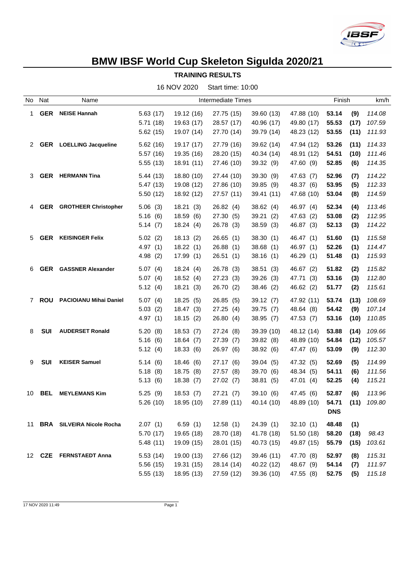

## **BMW IBSF World Cup Skeleton Sigulda 2020/21**

**TRAINING RESULTS**

|      |            |                                  |                           | 16 NOV 2020 | Start time: 10:00 |            |            |            |      |        |
|------|------------|----------------------------------|---------------------------|-------------|-------------------|------------|------------|------------|------|--------|
| No l | Nat        | Name                             | <b>Intermediate Times</b> |             |                   |            | Finish     |            | km/h |        |
| 1.   | <b>GER</b> | <b>NEISE Hannah</b>              | 5.63(17)                  | 19.12 (16)  | 27.75 (15)        | 39.60 (13) | 47.88 (10) | 53.14      | (9)  | 114.08 |
|      |            |                                  | 5.71(18)                  | 19.63 (17)  | 28.57 (17)        | 40.96 (17) | 49.80 (17) | 55.53      | (17) | 107.59 |
|      |            |                                  | 5.62(15)                  | 19.07 (14)  | 27.70 (14)        | 39.79 (14) | 48.23 (12) | 53.55      | (11) | 111.93 |
|      |            | 2 GER LOELLING Jacqueline        | 5.62(16)                  | 19.17 (17)  | 27.79 (16)        | 39.62 (14) | 47.94 (12) | 53.26      | (11) | 114.33 |
|      |            |                                  | 5.57(16)                  | 19.35 (16)  | 28.20 (15)        | 40.34 (14) | 48.91 (12) | 54.51      | (10) | 111.46 |
|      |            |                                  | 5.55(13)                  | 18.91(11)   | 27.46 (10)        | 39.32 (9)  | 47.60 (9)  | 52.85      | (6)  | 114.35 |
| 3.   | <b>GER</b> | <b>HERMANN Tina</b>              | 5.44(13)                  | 18.80 (10)  | 27.44 (10)        | 39.30 (9)  | 47.63 (7)  | 52.96      | (7)  | 114.22 |
|      |            |                                  | 5.47(13)                  | 19.08 (12)  | 27.86 (10)        | 39.85 (9)  | 48.37 (6)  | 53.95      | (5)  | 112.33 |
|      |            |                                  | 5.50(12)                  | 18.92 (12)  | 27.57 (11)        | 39.41 (11) | 47.68 (10) | 53.04      | (8)  | 114.59 |
| 4    | <b>GER</b> | <b>GROTHEER Christopher</b>      | 5.06(3)                   | 18.21(3)    | 26.82(4)          | 38.62(4)   | 46.97 (4)  | 52.34      | (4)  | 113.46 |
|      |            |                                  | 5.16(6)                   | 18.59(6)    | 27.30(5)          | 39.21(2)   | 47.63(2)   | 53.08      | (2)  | 112.95 |
|      |            |                                  | 5.14(7)                   | 18.24(4)    | 26.78 (3)         | 38.59(3)   | 46.87 (3)  | 52.13      | (3)  | 114.22 |
| 5    | <b>GER</b> | <b>KEISINGER Felix</b>           | 5.02(2)                   | 18.13(2)    | 26.65(1)          | 38.30(1)   | 46.47 (1)  | 51.60      | (1)  | 115.58 |
|      |            |                                  | 4.97(1)                   | 18.22(1)    | 26.88(1)          | 38.68(1)   | 46.97 (1)  | 52.26      | (1)  | 114.47 |
|      |            |                                  | 4.98(2)                   | 17.99(1)    | 26.51(1)          | 38.16(1)   | 46.29 (1)  | 51.48      | (1)  | 115.93 |
| 6    |            | <b>GER</b> GASSNER Alexander     | 5.07(4)                   | 18.24(4)    | 26.78(3)          | 38.51(3)   | 46.67 (2)  | 51.82      | (2)  | 115.82 |
|      |            |                                  | 5.07(4)                   | 18.52(4)    | 27.23(3)          | 39.26(3)   | 47.71 (3)  | 53.16      | (3)  | 112.80 |
|      |            |                                  | 5.12(4)                   | 18.21(3)    | 26.70 (2)         | 38.46(2)   | 46.62 (2)  | 51.77      | (2)  | 115.61 |
|      | 7 ROU      | <b>PACIOIANU Mihai Daniel</b>    | 5.07(4)                   | 18.25(5)    | 26.85(5)          | 39.12(7)   | 47.92 (11) | 53.74      | (13) | 108.69 |
|      |            |                                  | 5.03(2)                   | 18.47(3)    | 27.25(4)          | 39.75(7)   | 48.64 (8)  | 54.42      | (9)  | 107.14 |
|      |            |                                  | 4.97(1)                   | 18.15(2)    | 26.80(4)          | 38.95(7)   | 47.53 (7)  | 53.16      | (10) | 110.85 |
| 8    | SUI        | <b>AUDERSET Ronald</b>           | 5.20(8)                   | 18.53(7)    | 27.24(8)          | 39.39 (10) | 48.12 (14) | 53.88      | (14) | 109.66 |
|      |            |                                  | 5.16(6)                   | 18.64(7)    | 27.39(7)          | 39.82 (8)  | 48.89 (10) | 54.84      | (12) | 105.57 |
|      |            |                                  | 5.12(4)                   | 18.33(6)    | 26.97 (6)         | 38.92(6)   | 47.47 (6)  | 53.09      | (9)  | 112.30 |
| 9    | <b>SUI</b> | <b>KEISER Samuel</b>             | 5.14(6)                   | 18.46(6)    | 27.17 (6)         | 39.04(5)   | 47.32 (5)  | 52.69      | (5)  | 114.99 |
|      |            |                                  | 5.18(8)                   | 18.75(8)    | 27.57(8)          | 39.70 (6)  | 48.34 (5)  | 54.11      | (6)  | 111.56 |
|      |            |                                  | 5.13(6)                   | 18.38(7)    | 27.02(7)          | 38.81 (5)  | 47.01 (4)  | 52.25      | (4)  | 115.21 |
| 10   | <b>BEL</b> | <b>MEYLEMANS Kim</b>             | 5.25(9)                   | 18.53(7)    | 27.21(7)          | 39.10(6)   | 47.45 (6)  | 52.87      | (6)  | 113.96 |
|      |            |                                  | 5.26(10)                  | 18.95(10)   | 27.89 (11)        | 40.14 (10) | 48.89 (10) | 54.71      | (11) | 109.80 |
|      |            |                                  |                           |             |                   |            |            | <b>DNS</b> |      |        |
| 11   |            | <b>BRA</b> SILVEIRA Nicole Rocha | 2.07(1)                   | 6.59(1)     | 12.58(1)          | 24.39(1)   | 32.10(1)   | 48.48      | (1)  |        |
|      |            |                                  | 5.70(17)                  | 19.65 (18)  | 28.70 (18)        | 41.78 (18) | 51.50 (18) | 58.20      | (18) | 98.43  |
|      |            |                                  | 5.48(11)                  | 19.09 (15)  | 28.01 (15)        | 40.73 (15) | 49.87 (15) | 55.79      | (15) | 103.61 |
|      |            | 12 CZE FERNSTAEDT Anna           | 5.53(14)                  | 19.00 (13)  | 27.66 (12)        | 39.46 (11) | 47.70 (8)  | 52.97      | (8)  | 115.31 |
|      |            |                                  | 5.56 (15)                 | 19.31 (15)  | 28.14 (14)        | 40.22 (12) | 48.67 (9)  | 54.14      | (7)  | 111.97 |
|      |            |                                  | 5.55 (13)                 | 18.95 (13)  | 27.59 (12)        | 39.36 (10) | 47.55 (8)  | 52.75      | (5)  | 115.18 |

17 NOV 2020 11:49 Page 1